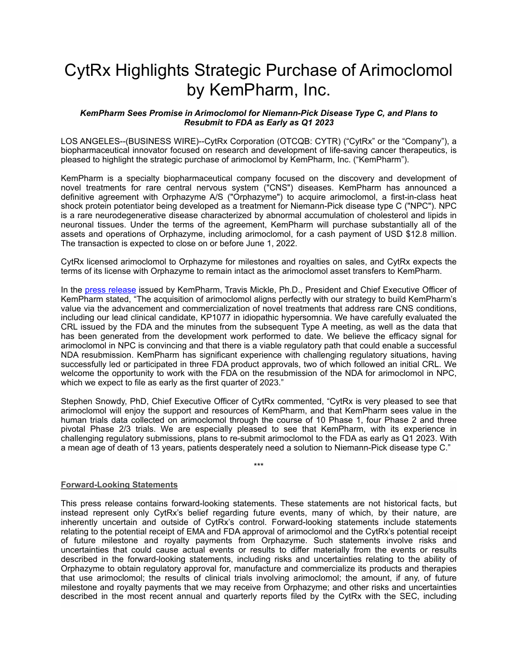# CytRx Highlights Strategic Purchase of Arimoclomol by KemPharm, Inc.

#### *KemPharm Sees Promise in Arimoclomol for Niemann-Pick Disease Type C, and Plans to Resubmit to FDA as Early as Q1 2023*

LOS ANGELES--(BUSINESS WIRE)--CytRx Corporation (OTCQB: CYTR) ("CytRx" or the "Company"), a biopharmaceutical innovator focused on research and development of life-saving cancer therapeutics, is pleased to highlight the strategic purchase of arimoclomol by KemPharm, Inc. ("KemPharm").

KemPharm is a specialty biopharmaceutical company focused on the discovery and development of novel treatments for rare central nervous system ("CNS") diseases. KemPharm has announced a definitive agreement with Orphazyme A/S ("Orphazyme") to acquire arimoclomol, a first-in-class heat shock protein potentiator being developed as a treatment for Niemann-Pick disease type C ("NPC"). NPC is a rare neurodegenerative disease characterized by abnormal accumulation of cholesterol and lipids in neuronal tissues. Under the terms of the agreement, KemPharm will purchase substantially all of the assets and operations of Orphazyme, including arimoclomol, for a cash payment of USD \$12.8 million. The transaction is expected to close on or before June 1, 2022.

CytRx licensed arimoclomol to Orphazyme for milestones and royalties on sales, and CytRx expects the terms of its license with Orphazyme to remain intact as the arimoclomol asset transfers to KemPharm.

In the [press release](https://investors.kempharm.com/news-releases/news-release-details/kempharm-announces-strategic-acquisition-arimoclomol-orphazyme) issued by KemPharm, Travis Mickle, Ph.D., President and Chief Executive Officer of KemPharm stated, "The acquisition of arimoclomol aligns perfectly with our strategy to build KemPharm's value via the advancement and commercialization of novel treatments that address rare CNS conditions, including our lead clinical candidate, KP1077 in idiopathic hypersomnia. We have carefully evaluated the CRL issued by the FDA and the minutes from the subsequent Type A meeting, as well as the data that has been generated from the development work performed to date. We believe the efficacy signal for arimoclomol in NPC is convincing and that there is a viable regulatory path that could enable a successful NDA resubmission. KemPharm has significant experience with challenging regulatory situations, having successfully led or participated in three FDA product approvals, two of which followed an initial CRL. We welcome the opportunity to work with the FDA on the resubmission of the NDA for arimoclomol in NPC, which we expect to file as early as the first quarter of 2023."

Stephen Snowdy, PhD, Chief Executive Officer of CytRx commented, "CytRx is very pleased to see that arimoclomol will enjoy the support and resources of KemPharm, and that KemPharm sees value in the human trials data collected on arimoclomol through the course of 10 Phase 1, four Phase 2 and three pivotal Phase 2/3 trials. We are especially pleased to see that KemPharm, with its experience in challenging regulatory submissions, plans to re-submit arimoclomol to the FDA as early as Q1 2023. With a mean age of death of 13 years, patients desperately need a solution to Niemann-Pick disease type C."

\*\*\*

#### **Forward-Looking Statements**

This press release contains forward-looking statements. These statements are not historical facts, but instead represent only CytRx's belief regarding future events, many of which, by their nature, are inherently uncertain and outside of CytRx's control. Forward-looking statements include statements relating to the potential receipt of EMA and FDA approval of arimoclomol and the CytRx's potential receipt of future milestone and royalty payments from Orphazyme. Such statements involve risks and uncertainties that could cause actual events or results to differ materially from the events or results described in the forward-looking statements, including risks and uncertainties relating to the ability of Orphazyme to obtain regulatory approval for, manufacture and commercialize its products and therapies that use arimoclomol; the results of clinical trials involving arimoclomol; the amount, if any, of future milestone and royalty payments that we may receive from Orphazyme; and other risks and uncertainties described in the most recent annual and quarterly reports filed by the CytRx with the SEC, including